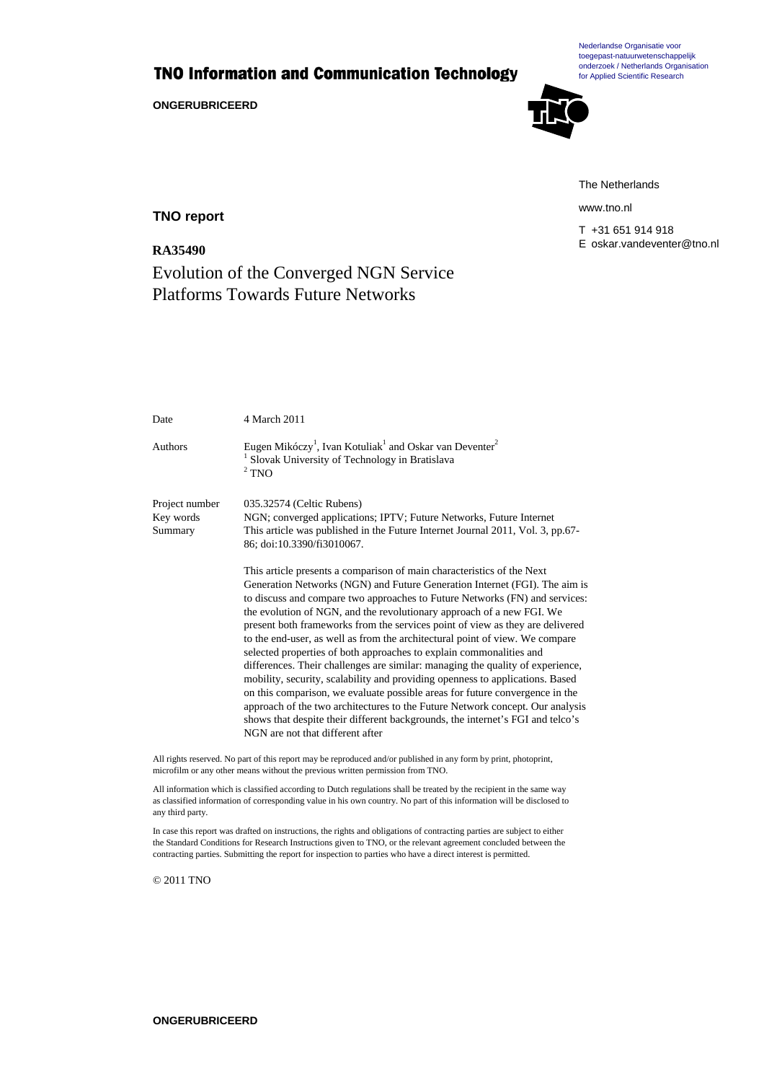# **TNO Information and Communication Technology**

**ONGERUBRICEERD** 



The Netherlands

www.tno.nl

T +31 651 914 918 E oskar.vandeventer@tno.nl

#### **TNO report**

**RA35490**  Evolution of the Converged NGN Service Platforms Towards Future Networks

| Date                                   | 4 March 2011                                                                                                                                                                                                                                                                                                                                                                                                                                                                                                                                                                                                                                                                                                                                                                                                                                                                                                                                                                                                   |
|----------------------------------------|----------------------------------------------------------------------------------------------------------------------------------------------------------------------------------------------------------------------------------------------------------------------------------------------------------------------------------------------------------------------------------------------------------------------------------------------------------------------------------------------------------------------------------------------------------------------------------------------------------------------------------------------------------------------------------------------------------------------------------------------------------------------------------------------------------------------------------------------------------------------------------------------------------------------------------------------------------------------------------------------------------------|
| Authors                                | Eugen Mikóczy <sup>1</sup> , Ivan Kotuliak <sup>1</sup> and Oskar van Deventer <sup>2</sup><br>Slovak University of Technology in Bratislava<br>$^2$ TNO $\,$                                                                                                                                                                                                                                                                                                                                                                                                                                                                                                                                                                                                                                                                                                                                                                                                                                                  |
| Project number<br>Key words<br>Summary | 035.32574 (Celtic Rubens)<br>NGN; converged applications; IPTV; Future Networks, Future Internet<br>This article was published in the Future Internet Journal 2011, Vol. 3, pp.67-<br>86; doi:10.3390/fi3010067.                                                                                                                                                                                                                                                                                                                                                                                                                                                                                                                                                                                                                                                                                                                                                                                               |
|                                        | This article presents a comparison of main characteristics of the Next<br>Generation Networks (NGN) and Future Generation Internet (FGI). The aim is<br>to discuss and compare two approaches to Future Networks (FN) and services:<br>the evolution of NGN, and the revolutionary approach of a new FGI. We<br>present both frameworks from the services point of view as they are delivered<br>to the end-user, as well as from the architectural point of view. We compare<br>selected properties of both approaches to explain commonalities and<br>differences. Their challenges are similar: managing the quality of experience,<br>mobility, security, scalability and providing openness to applications. Based<br>on this comparison, we evaluate possible areas for future convergence in the<br>approach of the two architectures to the Future Network concept. Our analysis<br>shows that despite their different backgrounds, the internet's FGI and telco's<br>NGN are not that different after |
|                                        | All rights reserved. No part of this report may be reproduced and/or published in any form by print, photoprint,<br>microfilm or any other means without the previous written permission from TNO.                                                                                                                                                                                                                                                                                                                                                                                                                                                                                                                                                                                                                                                                                                                                                                                                             |

All information which is classified according to Dutch regulations shall be treated by the recipient in the same way as classified information of corresponding value in his own country. No part of this information will be disclosed to any third party.

In case this report was drafted on instructions, the rights and obligations of contracting parties are subject to either the Standard Conditions for Research Instructions given to TNO, or the relevant agreement concluded between the contracting parties. Submitting the report for inspection to parties who have a direct interest is permitted.

© 2011 TNO

Nederlandse Organisatie voor toegepast-natuurwetenschappelijk onderzoek / Netherlands Organisation for Applied Scientific Research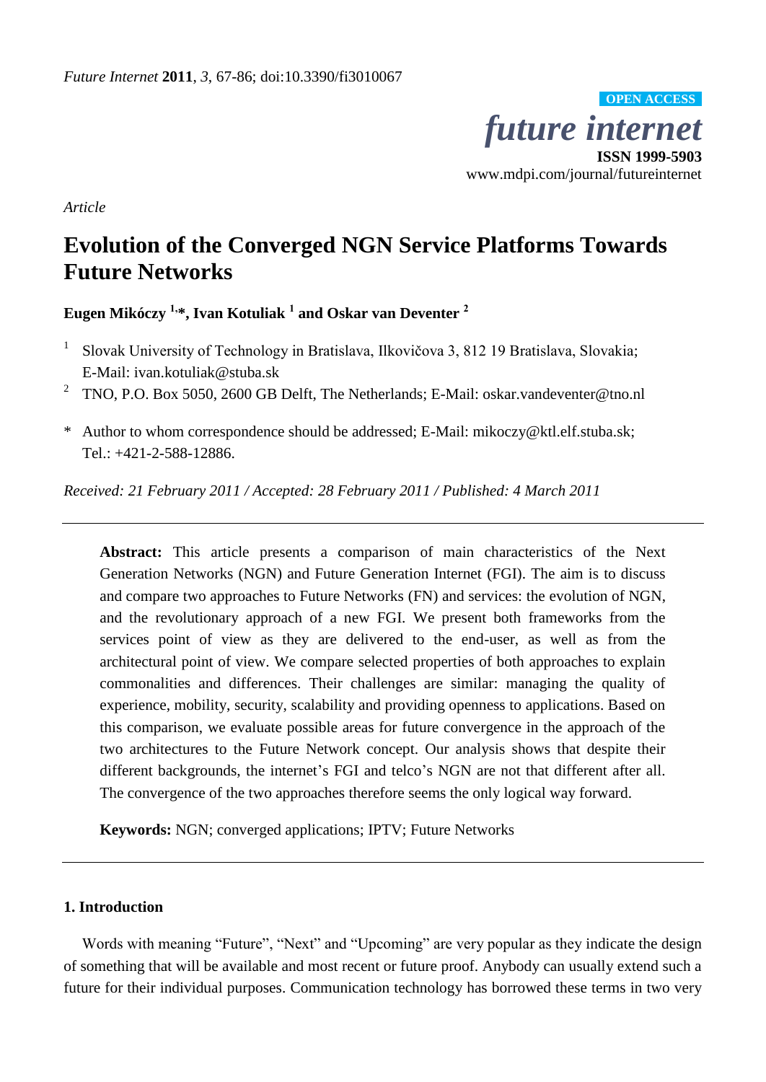*future internet* **ISSN 1999-5903 OPEN ACCESS**

www.mdpi.com/journal/futureinternet

*Article*

# **Evolution of the Converged NGN Service Platforms Towards Future Networks**

**Eugen Mikóczy 1, \*, Ivan Kotuliak <sup>1</sup> and Oskar van Deventer <sup>2</sup>**

- 1 Slovak University of Technology in Bratislava, Ilkovičova 3, 812 19 Bratislava, Slovakia; E-Mail: ivan.kotuliak@stuba.sk
- 2 TNO, P.O. Box 5050, 2600 GB Delft, The Netherlands; E-Mail: oskar.vandeventer@tno.nl
- \* Author to whom correspondence should be addressed; E-Mail: mikoczy@ktl.elf.stuba.sk; Tel.: +421-2-588-12886.

*Received: 21 February 2011 / Accepted: 28 February 2011 / Published: 4 March 2011*

**Abstract:** This article presents a comparison of main characteristics of the Next Generation Networks (NGN) and Future Generation Internet (FGI). The aim is to discuss and compare two approaches to Future Networks (FN) and services: the evolution of NGN, and the revolutionary approach of a new FGI. We present both frameworks from the services point of view as they are delivered to the end-user, as well as from the architectural point of view. We compare selected properties of both approaches to explain commonalities and differences. Their challenges are similar: managing the quality of experience, mobility, security, scalability and providing openness to applications. Based on this comparison, we evaluate possible areas for future convergence in the approach of the two architectures to the Future Network concept. Our analysis shows that despite their different backgrounds, the internet's FGI and telco's NGN are not that different after all. The convergence of the two approaches therefore seems the only logical way forward.

**Keywords:** NGN; converged applications; IPTV; Future Networks

# **1. Introduction**

Words with meaning "Future", "Next" and "Upcoming" are very popular as they indicate the design of something that will be available and most recent or future proof. Anybody can usually extend such a future for their individual purposes. Communication technology has borrowed these terms in two very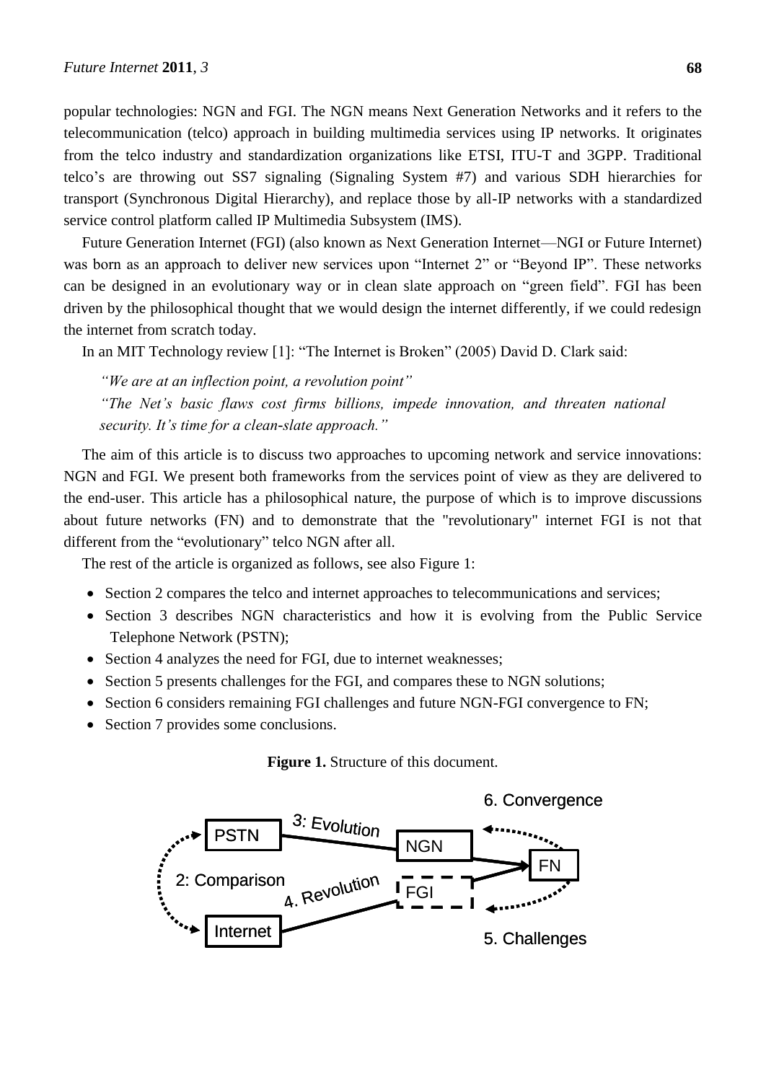popular technologies: NGN and FGI. The NGN means Next Generation Networks and it refers to the telecommunication (telco) approach in building multimedia services using IP networks. It originates from the telco industry and standardization organizations like ETSI, ITU-T and 3GPP. Traditional telco's are throwing out SS7 signaling (Signaling System #7) and various SDH hierarchies for transport (Synchronous Digital Hierarchy), and replace those by all-IP networks with a standardized service control platform called IP Multimedia Subsystem (IMS).

Future Generation Internet (FGI) (also known as Next Generation Internet—NGI or Future Internet) was born as an approach to deliver new services upon "Internet 2" or "Beyond IP". These networks can be designed in an evolutionary way or in clean slate approach on "green field". FGI has been driven by the philosophical thought that we would design the internet differently, if we could redesign the internet from scratch today.

In an MIT Technology review [1]: "The Internet is Broken" (2005) David D. Clark said:

*"We are at an inflection point, a revolution point" "The Net's basic flaws cost firms billions, impede innovation, and threaten national security. It's time for a clean-slate approach."*

The aim of this article is to discuss two approaches to upcoming network and service innovations: NGN and FGI. We present both frameworks from the services point of view as they are delivered to the end-user. This article has a philosophical nature, the purpose of which is to improve discussions about future networks (FN) and to demonstrate that the "revolutionary" internet FGI is not that different from the "evolutionary" telco NGN after all.

The rest of the article is organized as follows, see also Figure 1:

- Section 2 compares the telco and internet approaches to telecommunications and services;
- Section 3 describes NGN characteristics and how it is evolving from the Public Service Telephone Network (PSTN);
- Section 4 analyzes the need for FGI, due to internet weaknesses;
- Section 5 presents challenges for the FGI, and compares these to NGN solutions;
- Section 6 considers remaining FGI challenges and future NGN-FGI convergence to FN;
- Section 7 provides some conclusions.

### **Figure 1.** Structure of this document.

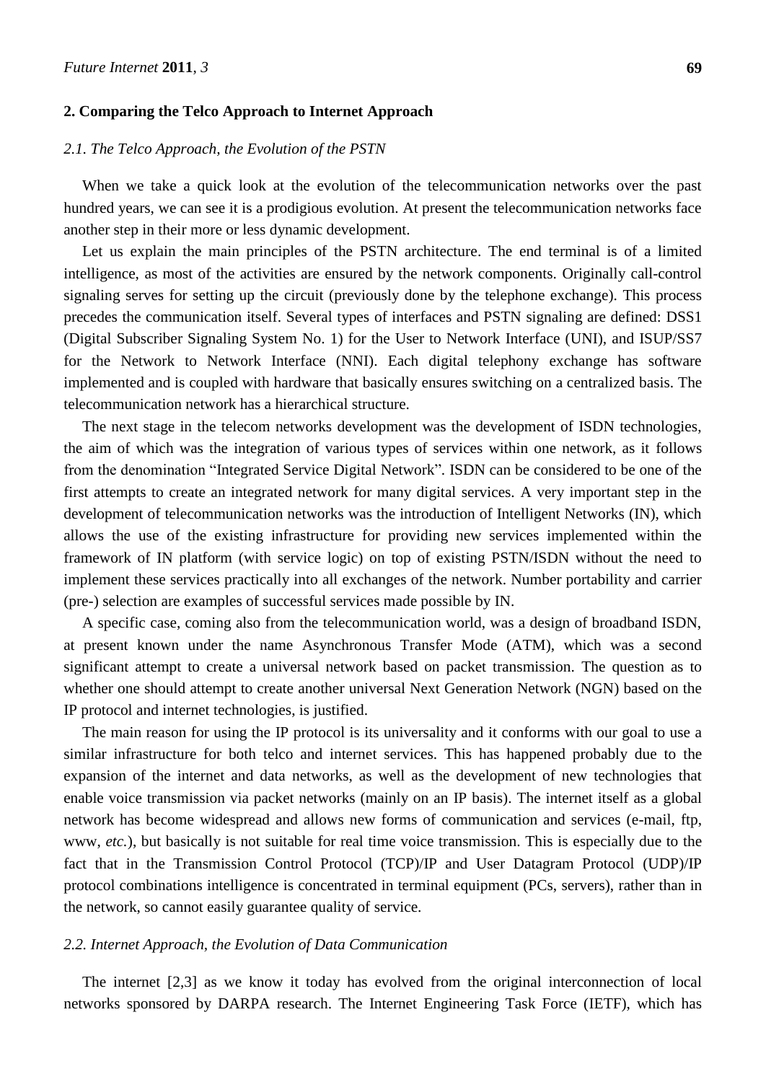### **2. Comparing the Telco Approach to Internet Approach**

### *2.1. The Telco Approach, the Evolution of the PSTN*

When we take a quick look at the evolution of the telecommunication networks over the past hundred years, we can see it is a prodigious evolution. At present the telecommunication networks face another step in their more or less dynamic development.

Let us explain the main principles of the PSTN architecture. The end terminal is of a limited intelligence, as most of the activities are ensured by the network components. Originally call-control signaling serves for setting up the circuit (previously done by the telephone exchange). This process precedes the communication itself. Several types of interfaces and PSTN signaling are defined: DSS1 (Digital Subscriber Signaling System No. 1) for the User to Network Interface (UNI), and ISUP/SS7 for the Network to Network Interface (NNI). Each digital telephony exchange has software implemented and is coupled with hardware that basically ensures switching on a centralized basis. The telecommunication network has a hierarchical structure.

The next stage in the telecom networks development was the development of ISDN technologies, the aim of which was the integration of various types of services within one network, as it follows from the denomination "Integrated Service Digital Network". ISDN can be considered to be one of the first attempts to create an integrated network for many digital services. A very important step in the development of telecommunication networks was the introduction of Intelligent Networks (IN), which allows the use of the existing infrastructure for providing new services implemented within the framework of IN platform (with service logic) on top of existing PSTN/ISDN without the need to implement these services practically into all exchanges of the network. Number portability and carrier (pre-) selection are examples of successful services made possible by IN.

A specific case, coming also from the telecommunication world, was a design of broadband ISDN, at present known under the name Asynchronous Transfer Mode (ATM), which was a second significant attempt to create a universal network based on packet transmission. The question as to whether one should attempt to create another universal Next Generation Network (NGN) based on the IP protocol and internet technologies, is justified.

The main reason for using the IP protocol is its universality and it conforms with our goal to use a similar infrastructure for both telco and internet services. This has happened probably due to the expansion of the internet and data networks, as well as the development of new technologies that enable voice transmission via packet networks (mainly on an IP basis). The internet itself as a global network has become widespread and allows new forms of communication and services (e-mail, ftp, www, *etc.*), but basically is not suitable for real time voice transmission. This is especially due to the fact that in the Transmission Control Protocol (TCP)/IP and User Datagram Protocol (UDP)/IP protocol combinations intelligence is concentrated in terminal equipment (PCs, servers), rather than in the network, so cannot easily guarantee quality of service.

#### *2.2. Internet Approach, the Evolution of Data Communication*

The internet [2,3] as we know it today has evolved from the original interconnection of local networks sponsored by DARPA research. The Internet Engineering Task Force (IETF), which has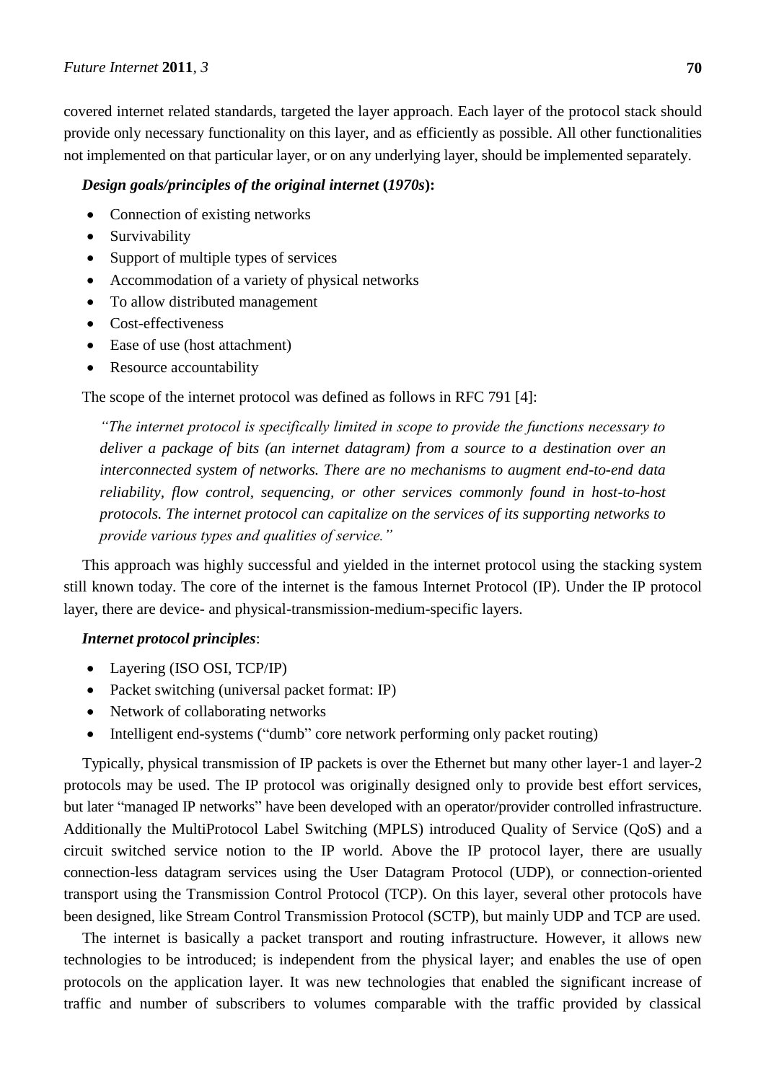covered internet related standards, targeted the layer approach. Each layer of the protocol stack should provide only necessary functionality on this layer, and as efficiently as possible. All other functionalities not implemented on that particular layer, or on any underlying layer, should be implemented separately.

### *Design goals/principles of the original internet* **(***1970s***):**

- Connection of existing networks
- Survivability
- Support of multiple types of services
- Accommodation of a variety of physical networks
- To allow distributed management
- Cost-effectiveness
- Ease of use (host attachment)
- Resource accountability

The scope of the internet protocol was defined as follows in RFC 791 [4]:

*"The internet protocol is specifically limited in scope to provide the functions necessary to deliver a package of bits (an internet datagram) from a source to a destination over an interconnected system of networks. There are no mechanisms to augment end-to-end data reliability, flow control, sequencing, or other services commonly found in host-to-host protocols. The internet protocol can capitalize on the services of its supporting networks to provide various types and qualities of service."*

This approach was highly successful and yielded in the internet protocol using the stacking system still known today. The core of the internet is the famous Internet Protocol (IP). Under the IP protocol layer, there are device- and physical-transmission-medium-specific layers.

# *Internet protocol principles*:

- Layering (ISO OSI, TCP/IP)
- Packet switching (universal packet format: IP)
- Network of collaborating networks
- Intelligent end-systems ("dumb" core network performing only packet routing)

Typically, physical transmission of IP packets is over the Ethernet but many other layer-1 and layer-2 protocols may be used. The IP protocol was originally designed only to provide best effort services, but later "managed IP networks" have been developed with an operator/provider controlled infrastructure. Additionally the MultiProtocol Label Switching (MPLS) introduced Quality of Service (QoS) and a circuit switched service notion to the IP world. Above the IP protocol layer, there are usually connection-less datagram services using the User Datagram Protocol (UDP), or connection-oriented transport using the Transmission Control Protocol (TCP). On this layer, several other protocols have been designed, like Stream Control Transmission Protocol (SCTP), but mainly UDP and TCP are used.

The internet is basically a packet transport and routing infrastructure. However, it allows new technologies to be introduced; is independent from the physical layer; and enables the use of open protocols on the application layer. It was new technologies that enabled the significant increase of traffic and number of subscribers to volumes comparable with the traffic provided by classical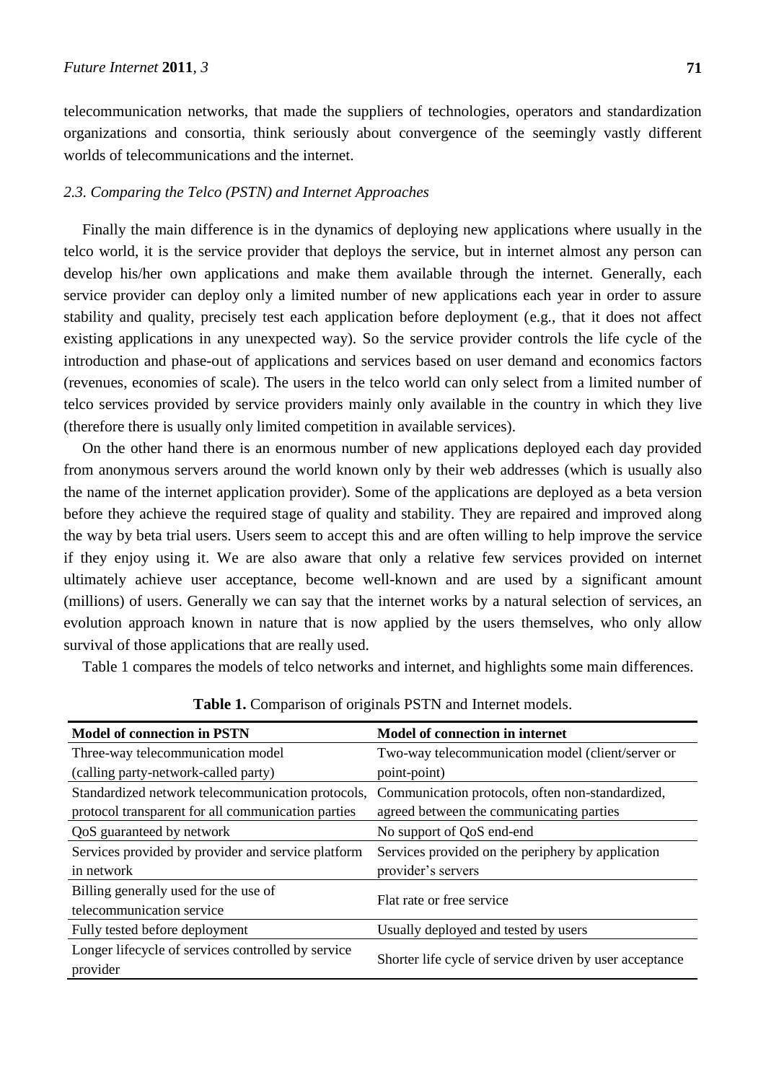telecommunication networks, that made the suppliers of technologies, operators and standardization organizations and consortia, think seriously about convergence of the seemingly vastly different worlds of telecommunications and the internet.

### *2.3. Comparing the Telco (PSTN) and Internet Approaches*

Finally the main difference is in the dynamics of deploying new applications where usually in the telco world, it is the service provider that deploys the service, but in internet almost any person can develop his/her own applications and make them available through the internet. Generally, each service provider can deploy only a limited number of new applications each year in order to assure stability and quality, precisely test each application before deployment (e.g., that it does not affect existing applications in any unexpected way). So the service provider controls the life cycle of the introduction and phase-out of applications and services based on user demand and economics factors (revenues, economies of scale). The users in the telco world can only select from a limited number of telco services provided by service providers mainly only available in the country in which they live (therefore there is usually only limited competition in available services).

On the other hand there is an enormous number of new applications deployed each day provided from anonymous servers around the world known only by their web addresses (which is usually also the name of the internet application provider). Some of the applications are deployed as a beta version before they achieve the required stage of quality and stability. They are repaired and improved along the way by beta trial users. Users seem to accept this and are often willing to help improve the service if they enjoy using it. We are also aware that only a relative few services provided on internet ultimately achieve user acceptance, become well-known and are used by a significant amount (millions) of users. Generally we can say that the internet works by a natural selection of services, an evolution approach known in nature that is now applied by the users themselves, who only allow survival of those applications that are really used.

Table 1 compares the models of telco networks and internet, and highlights some main differences.

| <b>Model of connection in PSTN</b>                 | Model of connection in internet                         |  |
|----------------------------------------------------|---------------------------------------------------------|--|
| Three-way telecommunication model                  | Two-way telecommunication model (client/server or       |  |
| (calling party-network-called party)               | point-point)                                            |  |
| Standardized network telecommunication protocols,  | Communication protocols, often non-standardized,        |  |
| protocol transparent for all communication parties | agreed between the communicating parties                |  |
| QoS guaranteed by network                          | No support of QoS end-end                               |  |
| Services provided by provider and service platform | Services provided on the periphery by application       |  |
| in network                                         | provider's servers                                      |  |
| Billing generally used for the use of              |                                                         |  |
| telecommunication service                          | Flat rate or free service                               |  |
| Fully tested before deployment                     | Usually deployed and tested by users                    |  |
| Longer lifecycle of services controlled by service |                                                         |  |
| provider                                           | Shorter life cycle of service driven by user acceptance |  |

**Table 1.** Comparison of originals PSTN and Internet models.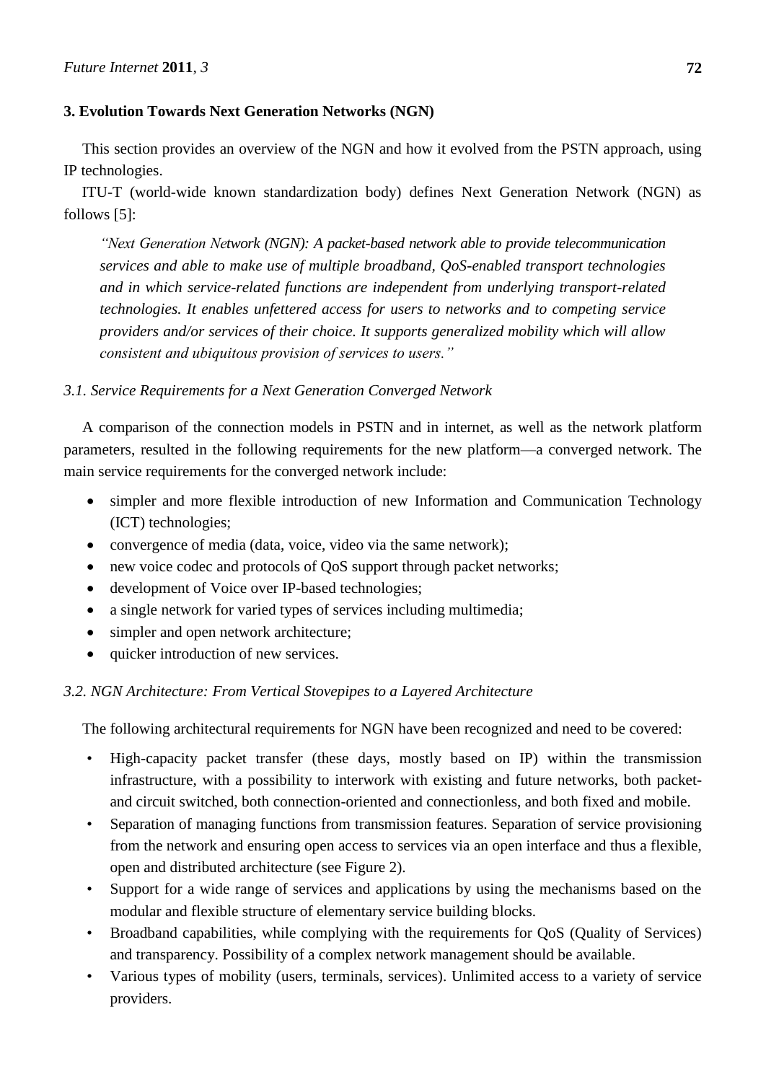# **3. Evolution Towards Next Generation Networks (NGN)**

This section provides an overview of the NGN and how it evolved from the PSTN approach, using IP technologies.

ITU-T (world-wide known standardization body) defines Next Generation Network (NGN) as follows [5]:

*"Next Generation Network (NGN): A packet-based network able to provide telecommunication services and able to make use of multiple broadband, QoS-enabled transport technologies and in which service-related functions are independent from underlying transport-related technologies. It enables unfettered access for users to networks and to competing service providers and/or services of their choice. It supports generalized mobility which will allow consistent and ubiquitous provision of services to users."*

*3.1. Service Requirements for a Next Generation Converged Network*

A comparison of the connection models in PSTN and in internet, as well as the network platform parameters, resulted in the following requirements for the new platform—a converged network. The main service requirements for the converged network include:

- simpler and more flexible introduction of new Information and Communication Technology (ICT) technologies;
- convergence of media (data, voice, video via the same network);
- new voice codec and protocols of QoS support through packet networks;
- development of Voice over IP-based technologies;
- a single network for varied types of services including multimedia;
- simpler and open network architecture;
- quicker introduction of new services.

# *3.2. NGN Architecture: From Vertical Stovepipes to a Layered Architecture*

The following architectural requirements for NGN have been recognized and need to be covered:

- High-capacity packet transfer (these days, mostly based on IP) within the transmission infrastructure, with a possibility to interwork with existing and future networks, both packetand circuit switched, both connection-oriented and connectionless, and both fixed and mobile.
- Separation of managing functions from transmission features. Separation of service provisioning from the network and ensuring open access to services via an open interface and thus a flexible, open and distributed architecture (see Figure 2).
- Support for a wide range of services and applications by using the mechanisms based on the modular and flexible structure of elementary service building blocks.
- Broadband capabilities, while complying with the requirements for QoS (Quality of Services) and transparency. Possibility of a complex network management should be available.
- Various types of mobility (users, terminals, services). Unlimited access to a variety of service providers.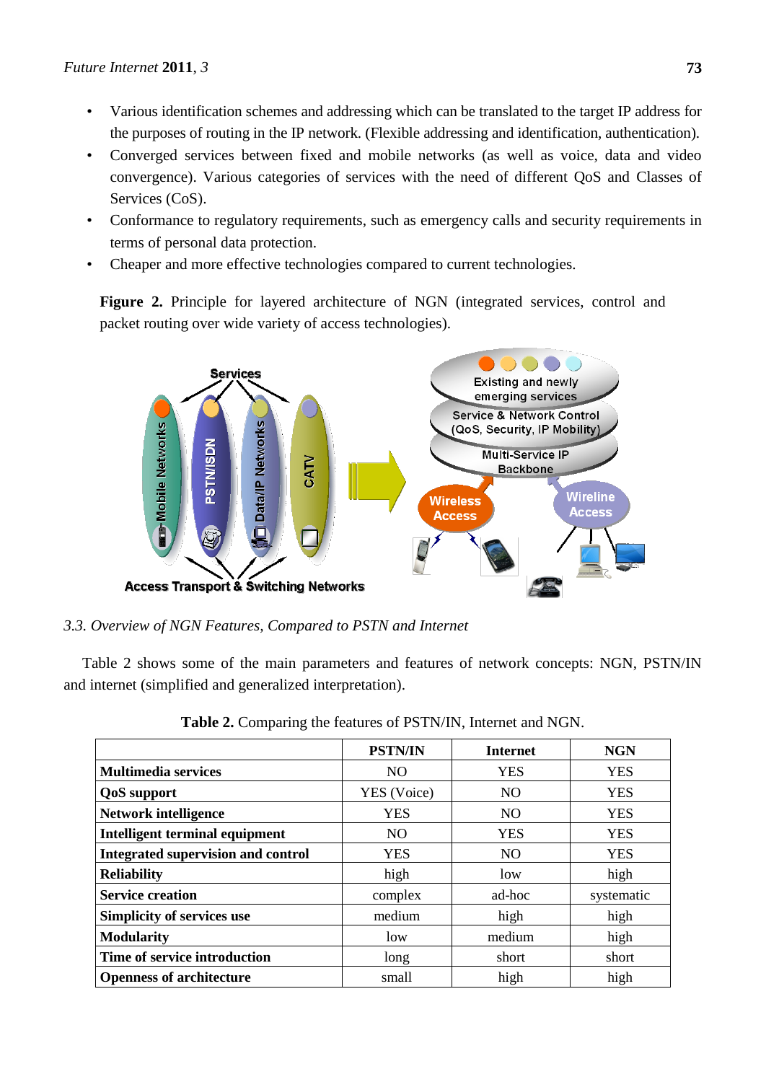- Various identification schemes and addressing which can be translated to the target IP address for the purposes of routing in the IP network. (Flexible addressing and identification, authentication).
- Converged services between fixed and mobile networks (as well as voice, data and video convergence). Various categories of services with the need of different QoS and Classes of Services (CoS).
- Conformance to regulatory requirements, such as emergency calls and security requirements in terms of personal data protection.
- Cheaper and more effective technologies compared to current technologies.

**Figure 2.** Principle for layered architecture of NGN (integrated services, control and packet routing over wide variety of access technologies).



*3.3. Overview of NGN Features, Compared to PSTN and Internet*

Table 2 shows some of the main parameters and features of network concepts: NGN, PSTN/IN and internet (simplified and generalized interpretation).

|                                           | <b>PSTN/IN</b> | <b>Internet</b> | <b>NGN</b> |
|-------------------------------------------|----------------|-----------------|------------|
| <b>Multimedia services</b>                | N <sub>O</sub> | <b>YES</b>      | <b>YES</b> |
| <b>QoS</b> support                        | YES (Voice)    | N <sub>O</sub>  | <b>YES</b> |
| <b>Network intelligence</b>               | <b>YES</b>     | N <sub>O</sub>  | <b>YES</b> |
| <b>Intelligent terminal equipment</b>     | N <sub>O</sub> | <b>YES</b>      | <b>YES</b> |
| <b>Integrated supervision and control</b> | <b>YES</b>     | N <sub>O</sub>  | <b>YES</b> |
| <b>Reliability</b>                        | high           | 1 <sub>ow</sub> | high       |
| <b>Service creation</b>                   | complex        | ad-hoc          | systematic |
| <b>Simplicity of services use</b>         | medium         | high            | high       |
| <b>Modularity</b>                         | low            | medium          | high       |
| Time of service introduction              | long           | short           | short      |
| <b>Openness of architecture</b>           | small          | high            | high       |

|  |  | Table 2. Comparing the features of PSTN/IN, Internet and NGN. |  |
|--|--|---------------------------------------------------------------|--|
|  |  |                                                               |  |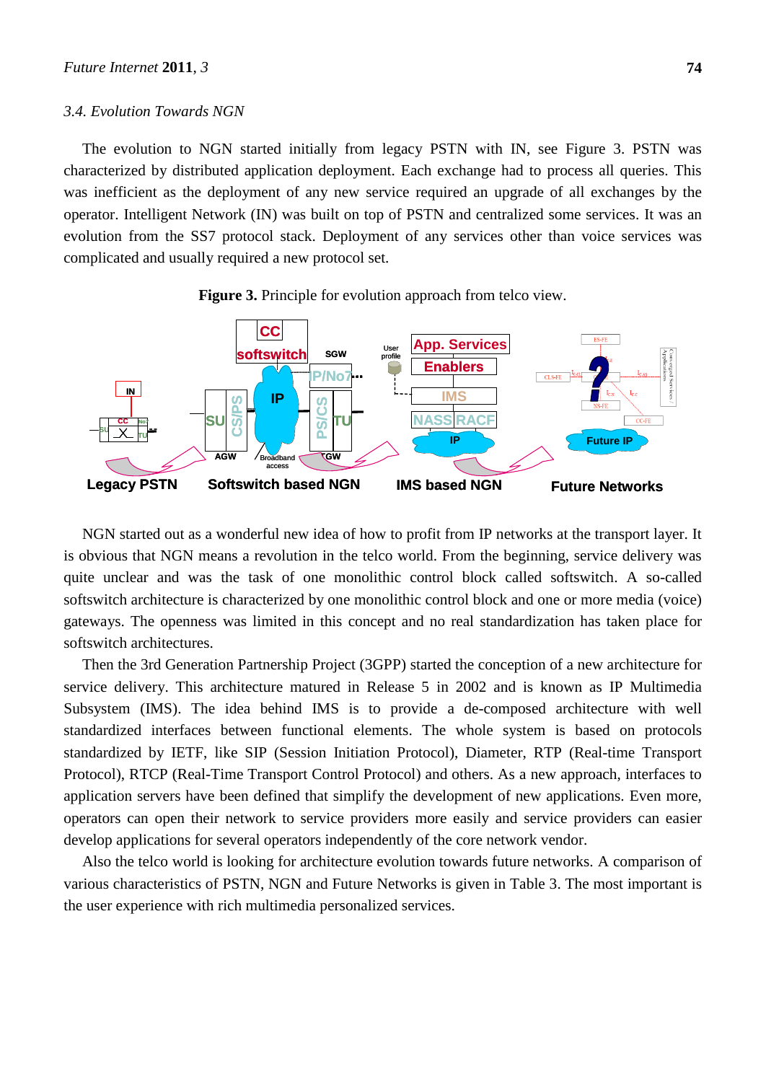### *3.4. Evolution Towards NGN*

The evolution to NGN started initially from legacy PSTN with IN, see Figure 3. PSTN was characterized by distributed application deployment. Each exchange had to process all queries. This was inefficient as the deployment of any new service required an upgrade of all exchanges by the operator. Intelligent Network (IN) was built on top of PSTN and centralized some services. It was an evolution from the SS7 protocol stack. Deployment of any services other than voice services was complicated and usually required a new protocol set.





NGN started out as a wonderful new idea of how to profit from IP networks at the transport layer. It is obvious that NGN means a revolution in the telco world. From the beginning, service delivery was quite unclear and was the task of one monolithic control block called softswitch. A so-called softswitch architecture is characterized by one monolithic control block and one or more media (voice) gateways. The openness was limited in this concept and no real standardization has taken place for softswitch architectures.

Then the 3rd Generation Partnership Project (3GPP) started the conception of a new architecture for service delivery. This architecture matured in Release 5 in 2002 and is known as IP Multimedia Subsystem (IMS). The idea behind IMS is to provide a de-composed architecture with well standardized interfaces between functional elements. The whole system is based on protocols standardized by IETF, like SIP (Session Initiation Protocol), Diameter, RTP (Real-time Transport Protocol), RTCP (Real-Time Transport Control Protocol) and others. As a new approach, interfaces to application servers have been defined that simplify the development of new applications. Even more, operators can open their network to service providers more easily and service providers can easier develop applications for several operators independently of the core network vendor.

Also the telco world is looking for architecture evolution towards future networks. A comparison of various characteristics of PSTN, NGN and Future Networks is given in Table 3. The most important is the user experience with rich multimedia personalized services.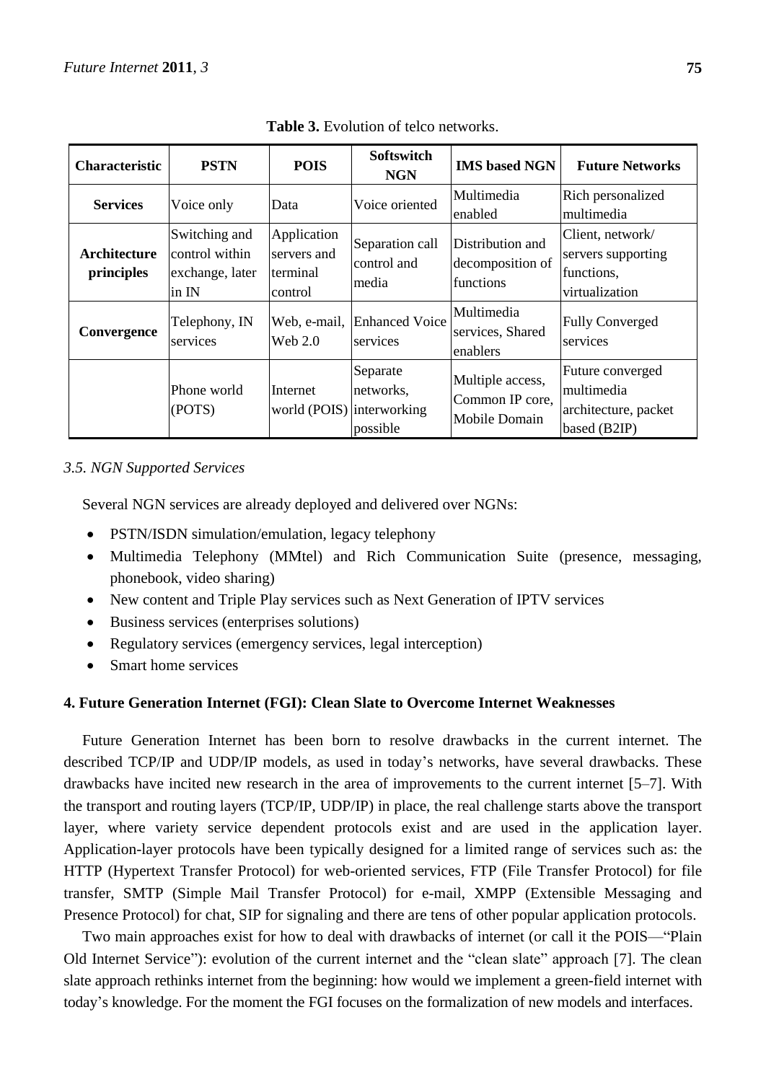| <b>Characteristic</b>      | <b>PSTN</b>                                                 | <b>POIS</b>                                       | <b>Softswitch</b><br><b>NGN</b>         | <b>IMS based NGN</b>                                 | <b>Future Networks</b>                                                 |
|----------------------------|-------------------------------------------------------------|---------------------------------------------------|-----------------------------------------|------------------------------------------------------|------------------------------------------------------------------------|
| <b>Services</b>            | Voice only                                                  | Data                                              | Voice oriented                          | Multimedia<br>enabled                                | Rich personalized<br>multimedia                                        |
| Architecture<br>principles | Switching and<br>control within<br>exchange, later<br>in IN | Application<br>servers and<br>terminal<br>control | Separation call<br>control and<br>media | Distribution and<br>decomposition of<br>functions    | Client, network/<br>servers supporting<br>functions,<br>virtualization |
| Convergence                | Telephony, IN<br>services                                   | Web, e-mail,<br>Web $2.0$                         | <b>Enhanced Voice</b><br>services       | Multimedia<br>services, Shared<br>enablers           | <b>Fully Converged</b><br>services                                     |
|                            | Phone world<br>(POTS)                                       | <b>Internet</b><br>world (POIS) interworking      | Separate<br>networks,<br>possible       | Multiple access,<br>Common IP core,<br>Mobile Domain | Future converged<br>multimedia<br>architecture, packet<br>based (B2IP) |

**Table 3.** Evolution of telco networks.

### *3.5. NGN Supported Services*

Several NGN services are already deployed and delivered over NGNs:

- PSTN/ISDN simulation/emulation, legacy telephony
- Multimedia Telephony (MMtel) and Rich Communication Suite (presence, messaging, phonebook, video sharing)
- New content and Triple Play services such as Next Generation of IPTV services
- Business services (enterprises solutions)
- Regulatory services (emergency services, legal interception)
- Smart home services

# **4. Future Generation Internet (FGI): Clean Slate to Overcome Internet Weaknesses**

Future Generation Internet has been born to resolve drawbacks in the current internet. The described TCP/IP and UDP/IP models, as used in today's networks, have several drawbacks. These drawbacks have incited new research in the area of improvements to the current internet [5–7]. With the transport and routing layers (TCP/IP, UDP/IP) in place, the real challenge starts above the transport layer, where variety service dependent protocols exist and are used in the application layer. Application-layer protocols have been typically designed for a limited range of services such as: the HTTP (Hypertext Transfer Protocol) for web-oriented services, FTP (File Transfer Protocol) for file transfer, SMTP (Simple Mail Transfer Protocol) for e-mail, XMPP (Extensible Messaging and Presence Protocol) for chat, SIP for signaling and there are tens of other popular application protocols.

Two main approaches exist for how to deal with drawbacks of internet (or call it the POIS—"Plain Old Internet Service"): evolution of the current internet and the "clean slate" approach [7]. The clean slate approach rethinks internet from the beginning: how would we implement a green-field internet with today's knowledge. For the moment the FGI focuses on the formalization of new models and interfaces.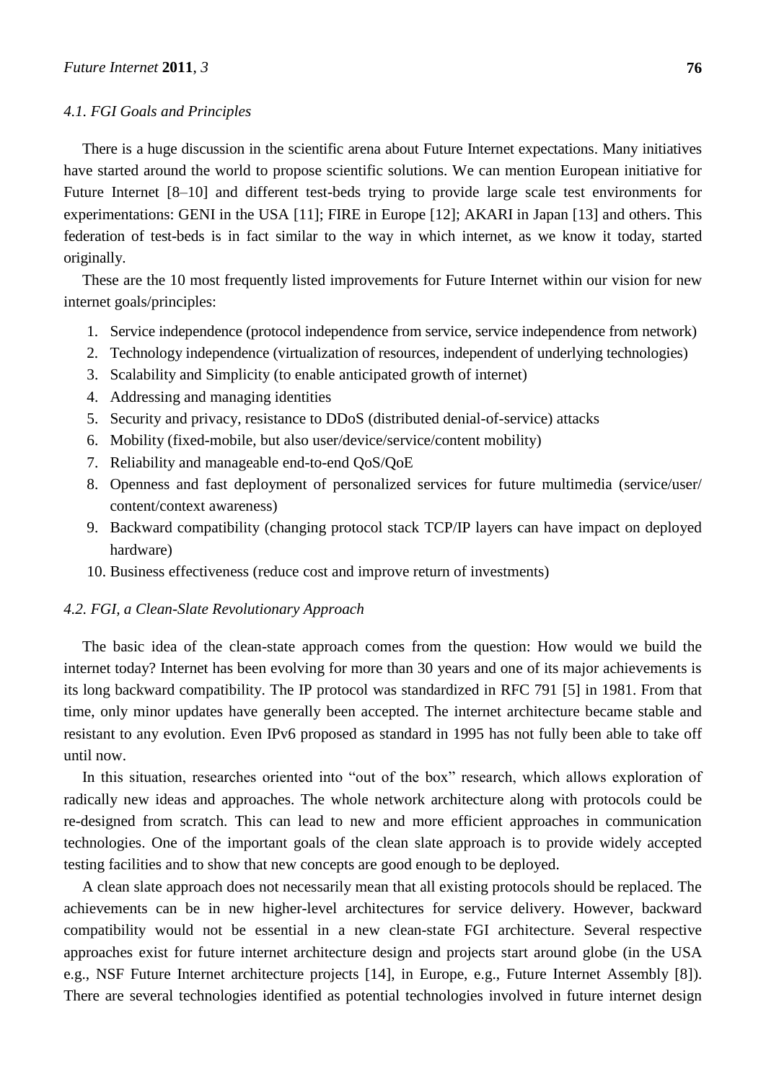### *4.1. FGI Goals and Principles*

There is a huge discussion in the scientific arena about Future Internet expectations. Many initiatives have started around the world to propose scientific solutions. We can mention European initiative for Future Internet [8–10] and different test-beds trying to provide large scale test environments for experimentations: GENI in the USA [11]; FIRE in Europe [12]; AKARI in Japan [13] and others. This federation of test-beds is in fact similar to the way in which internet, as we know it today, started originally.

These are the 10 most frequently listed improvements for Future Internet within our vision for new internet goals/principles:

- 1. Service independence (protocol independence from service, service independence from network)
- 2. Technology independence (virtualization of resources, independent of underlying technologies)
- 3. Scalability and Simplicity (to enable anticipated growth of internet)
- 4. Addressing and managing identities
- 5. Security and privacy, resistance to DDoS (distributed denial-of-service) attacks
- 6. Mobility (fixed-mobile, but also user/device/service/content mobility)
- 7. Reliability and manageable end-to-end QoS/QoE
- 8. Openness and fast deployment of personalized services for future multimedia (service/user/ content/context awareness)
- 9. Backward compatibility (changing protocol stack TCP/IP layers can have impact on deployed hardware)
- 10. Business effectiveness (reduce cost and improve return of investments)

### *4.2. FGI, a Clean-Slate Revolutionary Approach*

The basic idea of the clean-state approach comes from the question: How would we build the internet today? Internet has been evolving for more than 30 years and one of its major achievements is its long backward compatibility. The IP protocol was standardized in RFC 791 [5] in 1981. From that time, only minor updates have generally been accepted. The internet architecture became stable and resistant to any evolution. Even IPv6 proposed as standard in 1995 has not fully been able to take off until now.

In this situation, researches oriented into "out of the box" research, which allows exploration of radically new ideas and approaches. The whole network architecture along with protocols could be re-designed from scratch. This can lead to new and more efficient approaches in communication technologies. One of the important goals of the clean slate approach is to provide widely accepted testing facilities and to show that new concepts are good enough to be deployed.

A clean slate approach does not necessarily mean that all existing protocols should be replaced. The achievements can be in new higher-level architectures for service delivery. However, backward compatibility would not be essential in a new clean-state FGI architecture. Several respective approaches exist for future internet architecture design and projects start around globe (in the USA e.g., NSF Future Internet architecture projects [14], in Europe, e.g., Future Internet Assembly [8]). There are several technologies identified as potential technologies involved in future internet design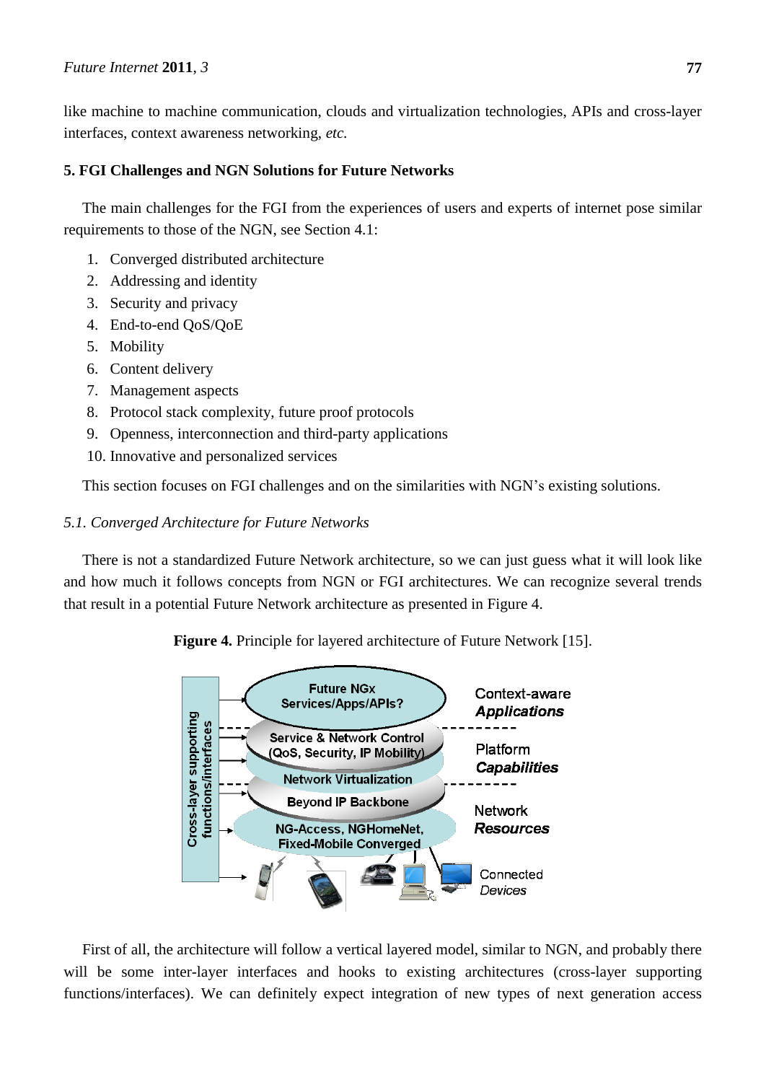like machine to machine communication, clouds and virtualization technologies, APIs and cross-layer interfaces, context awareness networking, *etc.*

# **5. FGI Challenges and NGN Solutions for Future Networks**

The main challenges for the FGI from the experiences of users and experts of internet pose similar requirements to those of the NGN, see Section 4.1:

- 1. Converged distributed architecture
- 2. Addressing and identity
- 3. Security and privacy
- 4. End-to-end QoS/QoE
- 5. Mobility
- 6. Content delivery
- 7. Management aspects
- 8. Protocol stack complexity, future proof protocols
- 9. Openness, interconnection and third-party applications
- 10. Innovative and personalized services

This section focuses on FGI challenges and on the similarities with NGN's existing solutions.

# *5.1. Converged Architecture for Future Networks*

There is not a standardized Future Network architecture, so we can just guess what it will look like and how much it follows concepts from NGN or FGI architectures. We can recognize several trends that result in a potential Future Network architecture as presented in Figure 4.

**Figure 4.** Principle for layered architecture of Future Network [15].



First of all, the architecture will follow a vertical layered model, similar to NGN, and probably there will be some inter-layer interfaces and hooks to existing architectures (cross-layer supporting functions/interfaces). We can definitely expect integration of new types of next generation access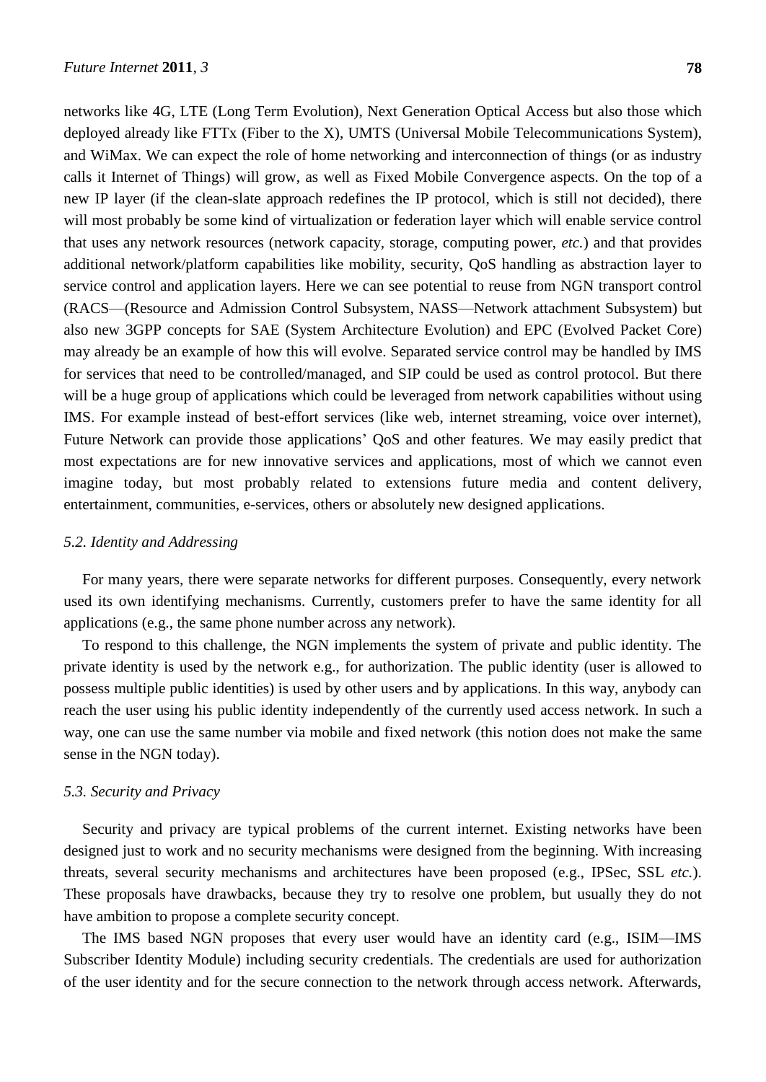networks like 4G, LTE (Long Term Evolution), Next Generation Optical Access but also those which deployed already like FTTx (Fiber to the X), UMTS (Universal Mobile Telecommunications System), and WiMax. We can expect the role of home networking and interconnection of things (or as industry calls it Internet of Things) will grow, as well as Fixed Mobile Convergence aspects. On the top of a new IP layer (if the clean-slate approach redefines the IP protocol, which is still not decided), there will most probably be some kind of virtualization or federation layer which will enable service control that uses any network resources (network capacity, storage, computing power, *etc.*) and that provides additional network/platform capabilities like mobility, security, QoS handling as abstraction layer to service control and application layers. Here we can see potential to reuse from NGN transport control (RACS—(Resource and Admission Control Subsystem, NASS—Network attachment Subsystem) but also new 3GPP concepts for SAE (System Architecture Evolution) and EPC (Evolved Packet Core) may already be an example of how this will evolve. Separated service control may be handled by IMS for services that need to be controlled/managed, and SIP could be used as control protocol. But there will be a huge group of applications which could be leveraged from network capabilities without using IMS. For example instead of best-effort services (like web, internet streaming, voice over internet), Future Network can provide those applications' QoS and other features. We may easily predict that most expectations are for new innovative services and applications, most of which we cannot even imagine today, but most probably related to extensions future media and content delivery, entertainment, communities, e-services, others or absolutely new designed applications.

### *5.2. Identity and Addressing*

For many years, there were separate networks for different purposes. Consequently, every network used its own identifying mechanisms. Currently, customers prefer to have the same identity for all applications (e.g., the same phone number across any network).

To respond to this challenge, the NGN implements the system of private and public identity. The private identity is used by the network e.g., for authorization. The public identity (user is allowed to possess multiple public identities) is used by other users and by applications. In this way, anybody can reach the user using his public identity independently of the currently used access network. In such a way, one can use the same number via mobile and fixed network (this notion does not make the same sense in the NGN today).

### *5.3. Security and Privacy*

Security and privacy are typical problems of the current internet. Existing networks have been designed just to work and no security mechanisms were designed from the beginning. With increasing threats, several security mechanisms and architectures have been proposed (e.g., IPSec, SSL *etc.*). These proposals have drawbacks, because they try to resolve one problem, but usually they do not have ambition to propose a complete security concept.

The IMS based NGN proposes that every user would have an identity card (e.g., ISIM—IMS Subscriber Identity Module) including security credentials. The credentials are used for authorization of the user identity and for the secure connection to the network through access network. Afterwards,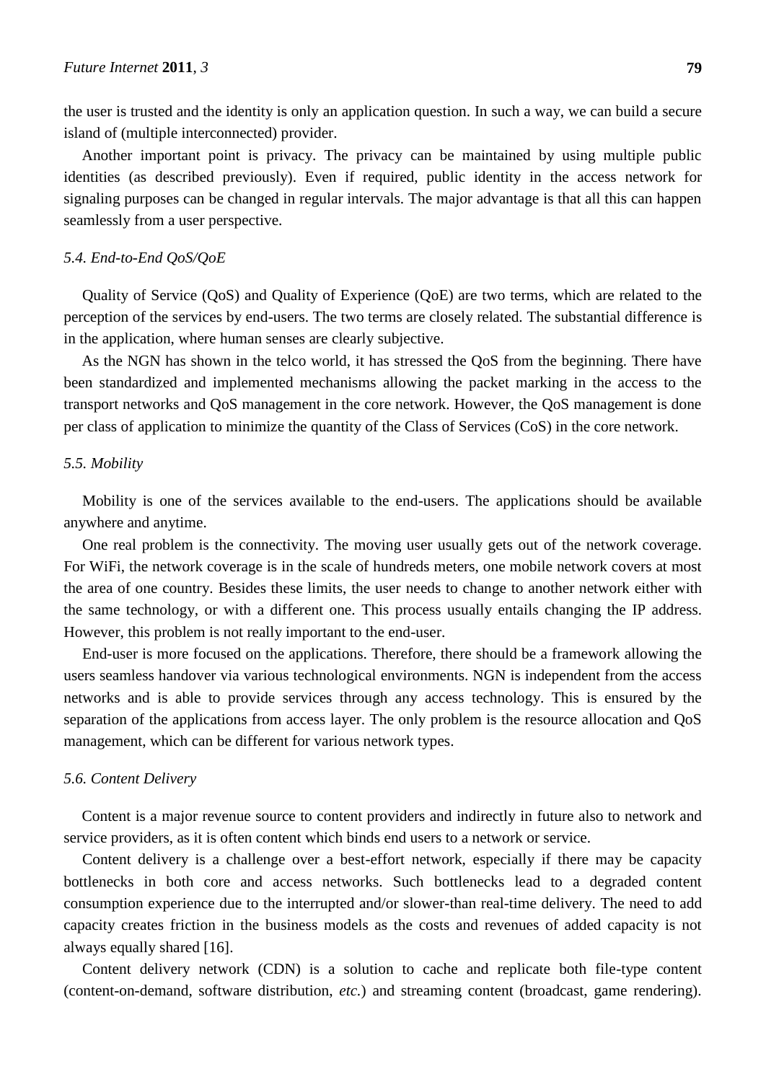the user is trusted and the identity is only an application question. In such a way, we can build a secure island of (multiple interconnected) provider.

Another important point is privacy. The privacy can be maintained by using multiple public identities (as described previously). Even if required, public identity in the access network for signaling purposes can be changed in regular intervals. The major advantage is that all this can happen seamlessly from a user perspective.

### *5.4. End-to-End QoS/QoE*

Quality of Service (QoS) and Quality of Experience (QoE) are two terms, which are related to the perception of the services by end-users. The two terms are closely related. The substantial difference is in the application, where human senses are clearly subjective.

As the NGN has shown in the telco world, it has stressed the QoS from the beginning. There have been standardized and implemented mechanisms allowing the packet marking in the access to the transport networks and QoS management in the core network. However, the QoS management is done per class of application to minimize the quantity of the Class of Services (CoS) in the core network.

### *5.5. Mobility*

Mobility is one of the services available to the end-users. The applications should be available anywhere and anytime.

One real problem is the connectivity. The moving user usually gets out of the network coverage. For WiFi, the network coverage is in the scale of hundreds meters, one mobile network covers at most the area of one country. Besides these limits, the user needs to change to another network either with the same technology, or with a different one. This process usually entails changing the IP address. However, this problem is not really important to the end-user.

End-user is more focused on the applications. Therefore, there should be a framework allowing the users seamless handover via various technological environments. NGN is independent from the access networks and is able to provide services through any access technology. This is ensured by the separation of the applications from access layer. The only problem is the resource allocation and QoS management, which can be different for various network types.

#### *5.6. Content Delivery*

Content is a major revenue source to content providers and indirectly in future also to network and service providers, as it is often content which binds end users to a network or service.

Content delivery is a challenge over a best-effort network, especially if there may be capacity bottlenecks in both core and access networks. Such bottlenecks lead to a degraded content consumption experience due to the interrupted and/or slower-than real-time delivery. The need to add capacity creates friction in the business models as the costs and revenues of added capacity is not always equally shared [16].

Content delivery network (CDN) is a solution to cache and replicate both file-type content (content-on-demand, software distribution, *etc.*) and streaming content (broadcast, game rendering).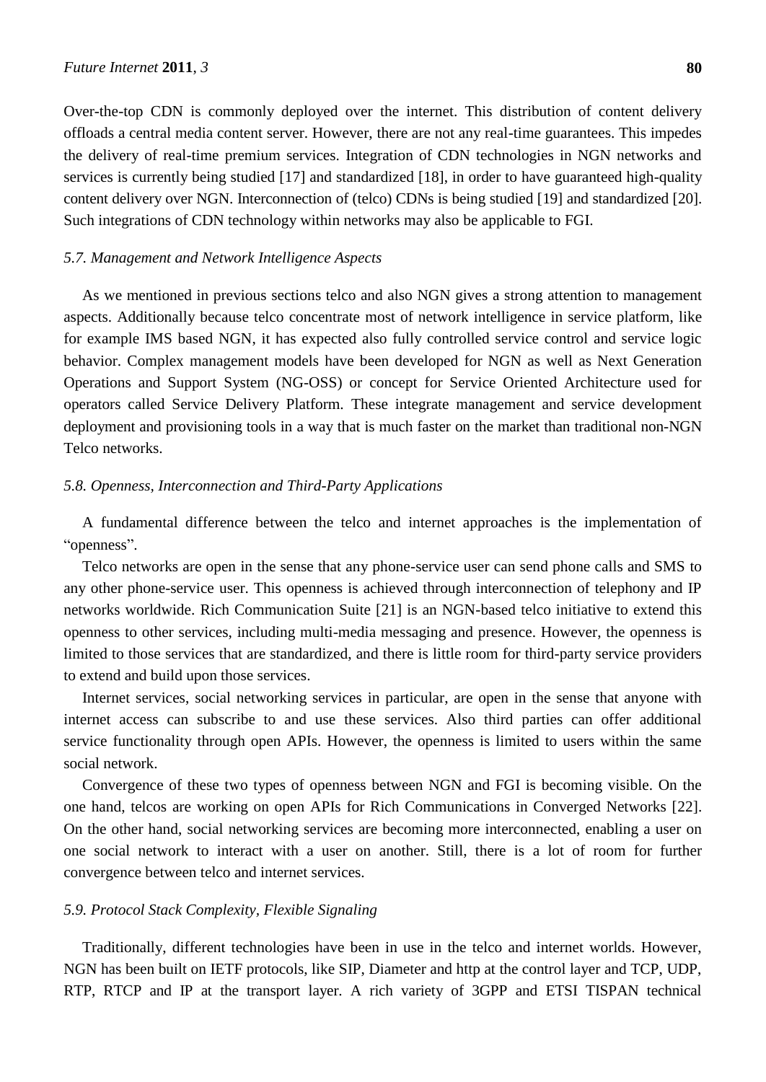Over-the-top CDN is commonly deployed over the internet. This distribution of content delivery offloads a central media content server. However, there are not any real-time guarantees. This impedes the delivery of real-time premium services. Integration of CDN technologies in NGN networks and services is currently being studied [17] and standardized [18], in order to have guaranteed high-quality content delivery over NGN. Interconnection of (telco) CDNs is being studied [19] and standardized [20]. Such integrations of CDN technology within networks may also be applicable to FGI.

### *5.7. Management and Network Intelligence Aspects*

As we mentioned in previous sections telco and also NGN gives a strong attention to management aspects. Additionally because telco concentrate most of network intelligence in service platform, like for example IMS based NGN, it has expected also fully controlled service control and service logic behavior. Complex management models have been developed for NGN as well as Next Generation Operations and Support System (NG-OSS) or concept for Service Oriented Architecture used for operators called Service Delivery Platform. These integrate management and service development deployment and provisioning tools in a way that is much faster on the market than traditional non-NGN Telco networks.

### *5.8. Openness, Interconnection and Third-Party Applications*

A fundamental difference between the telco and internet approaches is the implementation of "openness".

Telco networks are open in the sense that any phone-service user can send phone calls and SMS to any other phone-service user. This openness is achieved through interconnection of telephony and IP networks worldwide. Rich Communication Suite [21] is an NGN-based telco initiative to extend this openness to other services, including multi-media messaging and presence. However, the openness is limited to those services that are standardized, and there is little room for third-party service providers to extend and build upon those services.

Internet services, social networking services in particular, are open in the sense that anyone with internet access can subscribe to and use these services. Also third parties can offer additional service functionality through open APIs. However, the openness is limited to users within the same social network.

Convergence of these two types of openness between NGN and FGI is becoming visible. On the one hand, telcos are working on open APIs for Rich Communications in Converged Networks [22]. On the other hand, social networking services are becoming more interconnected, enabling a user on one social network to interact with a user on another. Still, there is a lot of room for further convergence between telco and internet services.

### *5.9. Protocol Stack Complexity, Flexible Signaling*

Traditionally, different technologies have been in use in the telco and internet worlds. However, NGN has been built on IETF protocols, like SIP, Diameter and http at the control layer and TCP, UDP, RTP, RTCP and IP at the transport layer. A rich variety of 3GPP and ETSI TISPAN technical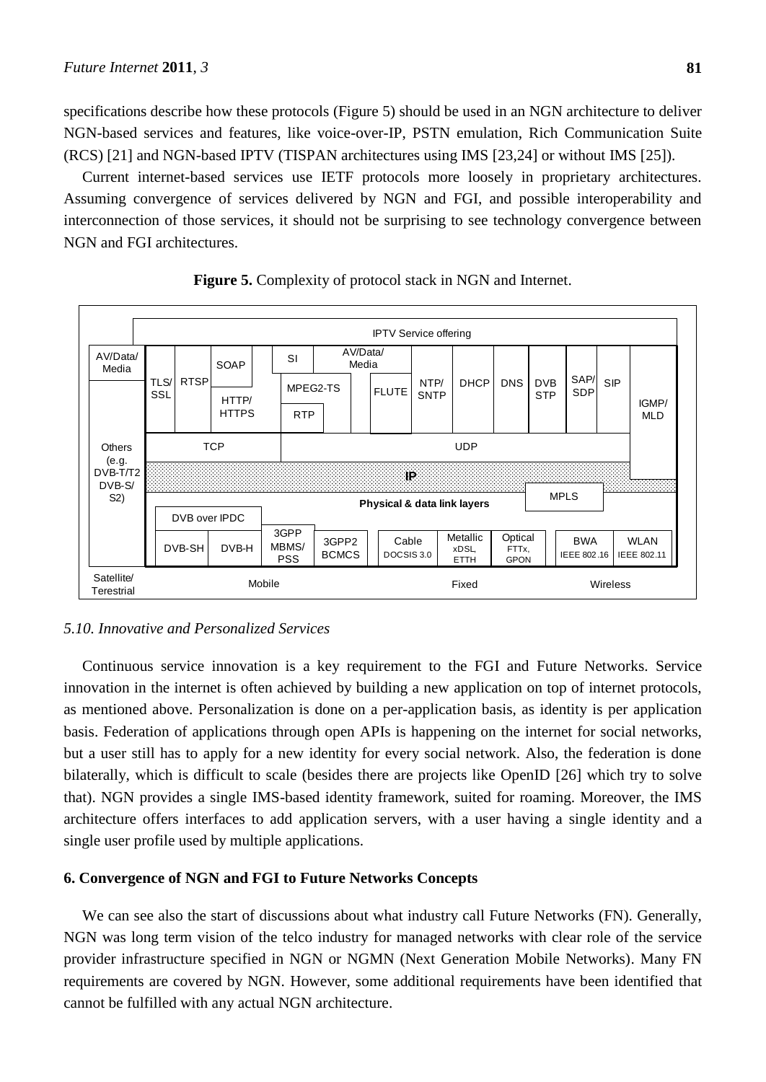specifications describe how these protocols (Figure 5) should be used in an NGN architecture to deliver NGN-based services and features, like voice-over-IP, PSTN emulation, Rich Communication Suite (RCS) [21] and NGN-based IPTV (TISPAN architectures using IMS [23,24] or without IMS [25]).

Current internet-based services use IETF protocols more loosely in proprietary architectures. Assuming convergence of services delivered by NGN and FGI, and possible interoperability and interconnection of those services, it should not be surprising to see technology convergence between NGN and FGI architectures.





# *5.10. Innovative and Personalized Services*

Continuous service innovation is a key requirement to the FGI and Future Networks. Service innovation in the internet is often achieved by building a new application on top of internet protocols, as mentioned above. Personalization is done on a per-application basis, as identity is per application basis. Federation of applications through open APIs is happening on the internet for social networks, but a user still has to apply for a new identity for every social network. Also, the federation is done bilaterally, which is difficult to scale (besides there are projects like OpenID [26] which try to solve that). NGN provides a single IMS-based identity framework, suited for roaming. Moreover, the IMS architecture offers interfaces to add application servers, with a user having a single identity and a single user profile used by multiple applications.

### **6. Convergence of NGN and FGI to Future Networks Concepts**

We can see also the start of discussions about what industry call Future Networks (FN). Generally, NGN was long term vision of the telco industry for managed networks with clear role of the service provider infrastructure specified in NGN or NGMN (Next Generation Mobile Networks). Many FN requirements are covered by NGN. However, some additional requirements have been identified that cannot be fulfilled with any actual NGN architecture.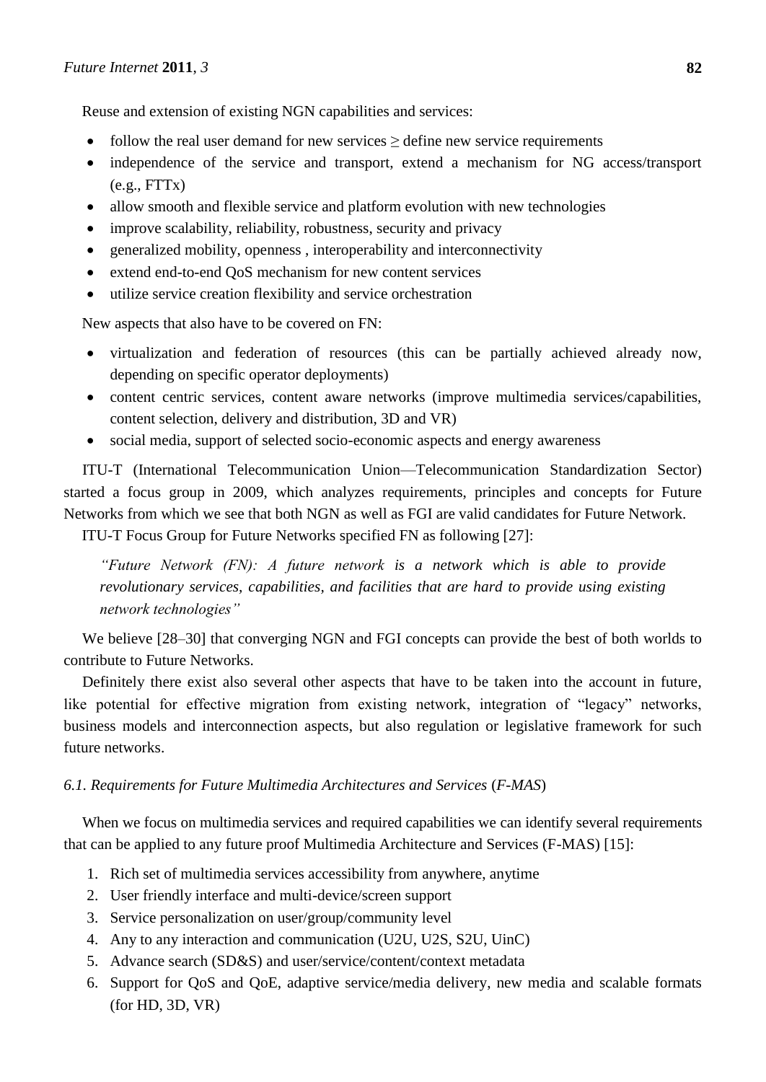Reuse and extension of existing NGN capabilities and services:

- follow the real user demand for new services  $\geq$  define new service requirements
- independence of the service and transport, extend a mechanism for NG access/transport  $(e.g., FTTx)$
- allow smooth and flexible service and platform evolution with new technologies
- improve scalability, reliability, robustness, security and privacy
- generalized mobility, openness , interoperability and interconnectivity
- extend end-to-end QoS mechanism for new content services
- utilize service creation flexibility and service orchestration

New aspects that also have to be covered on FN:

- virtualization and federation of resources (this can be partially achieved already now, depending on specific operator deployments)
- content centric services, content aware networks (improve multimedia services/capabilities, content selection, delivery and distribution, 3D and VR)
- social media, support of selected socio-economic aspects and energy awareness

ITU-T (International Telecommunication Union—Telecommunication Standardization Sector) started a focus group in 2009, which analyzes requirements, principles and concepts for Future Networks from which we see that both NGN as well as FGI are valid candidates for Future Network.

ITU-T Focus Group for Future Networks specified FN as following [27]:

*"Future Network (FN): A future network is a network which is able to provide revolutionary services, capabilities, and facilities that are hard to provide using existing network technologies"*

We believe [28–30] that converging NGN and FGI concepts can provide the best of both worlds to contribute to Future Networks.

Definitely there exist also several other aspects that have to be taken into the account in future, like potential for effective migration from existing network, integration of "legacy" networks, business models and interconnection aspects, but also regulation or legislative framework for such future networks.

# *6.1. Requirements for Future Multimedia Architectures and Services* (*F-MAS*)

When we focus on multimedia services and required capabilities we can identify several requirements that can be applied to any future proof Multimedia Architecture and Services (F-MAS) [15]:

- 1. Rich set of multimedia services accessibility from anywhere, anytime
- 2. User friendly interface and multi-device/screen support
- 3. Service personalization on user/group/community level
- 4. Any to any interaction and communication (U2U, U2S, S2U, UinC)
- 5. Advance search (SD&S) and user/service/content/context metadata
- 6. Support for QoS and QoE, adaptive service/media delivery, new media and scalable formats (for HD, 3D, VR)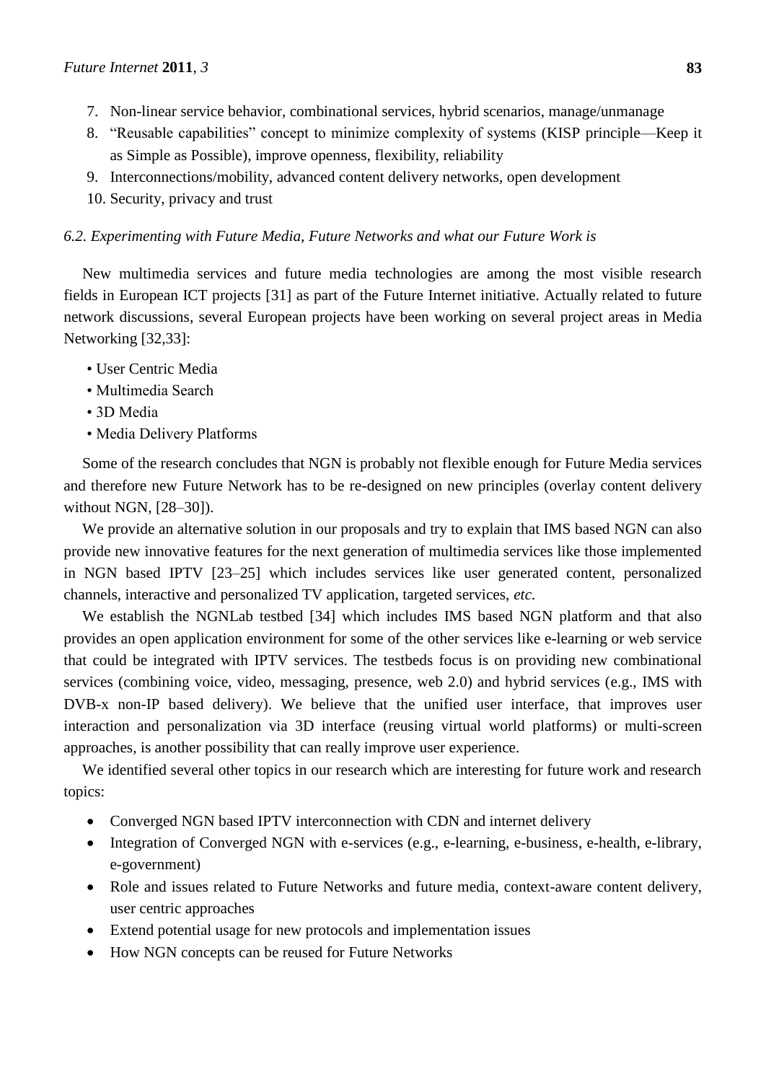- 7. Non-linear service behavior, combinational services, hybrid scenarios, manage/unmanage
- 8. "Reusable capabilities" concept to minimize complexity of systems (KISP principle—Keep it as Simple as Possible), improve openness, flexibility, reliability
- 9. Interconnections/mobility, advanced content delivery networks, open development
- 10. Security, privacy and trust

### *6.2. Experimenting with Future Media, Future Networks and what our Future Work is*

New multimedia services and future media technologies are among the most visible research fields in European ICT projects [31] as part of the Future Internet initiative. Actually related to future network discussions, several European projects have been working on several project areas in Media Networking [32,33]:

- User Centric Media
- Multimedia Search
- 3D Media
- Media Delivery Platforms

Some of the research concludes that NGN is probably not flexible enough for Future Media services and therefore new Future Network has to be re-designed on new principles (overlay content delivery without NGN, [28–30]).

We provide an alternative solution in our proposals and try to explain that IMS based NGN can also provide new innovative features for the next generation of multimedia services like those implemented in NGN based IPTV [23–25] which includes services like user generated content, personalized channels, interactive and personalized TV application, targeted services, *etc.*

We establish the NGNLab testbed [34] which includes IMS based NGN platform and that also provides an open application environment for some of the other services like e-learning or web service that could be integrated with IPTV services. The testbeds focus is on providing new combinational services (combining voice, video, messaging, presence, web 2.0) and hybrid services (e.g., IMS with DVB-x non-IP based delivery). We believe that the unified user interface, that improves user interaction and personalization via 3D interface (reusing virtual world platforms) or multi-screen approaches, is another possibility that can really improve user experience.

We identified several other topics in our research which are interesting for future work and research topics:

- Converged NGN based IPTV interconnection with CDN and internet delivery
- Integration of Converged NGN with e-services (e.g., e-learning, e-business, e-health, e-library, e-government)
- Role and issues related to Future Networks and future media, context-aware content delivery, user centric approaches
- Extend potential usage for new protocols and implementation issues
- How NGN concepts can be reused for Future Networks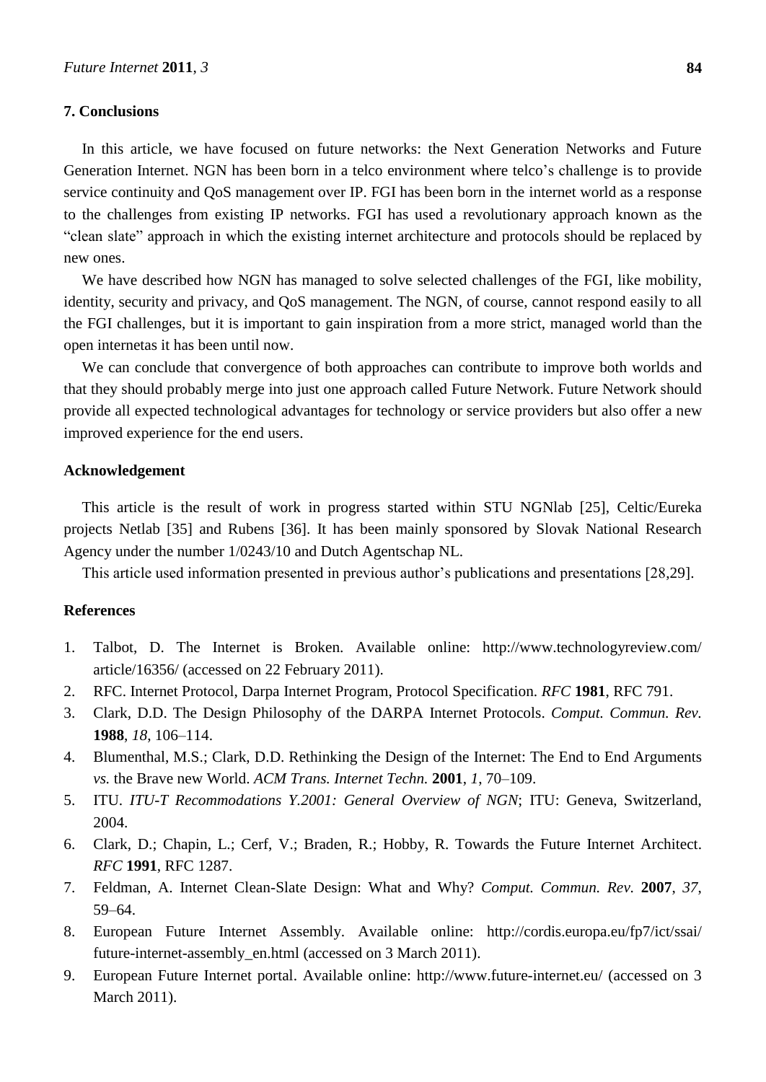### **7. Conclusions**

In this article, we have focused on future networks: the Next Generation Networks and Future Generation Internet. NGN has been born in a telco environment where telco's challenge is to provide service continuity and QoS management over IP. FGI has been born in the internet world as a response to the challenges from existing IP networks. FGI has used a revolutionary approach known as the ―clean slate‖ approach in which the existing internet architecture and protocols should be replaced by new ones.

We have described how NGN has managed to solve selected challenges of the FGI, like mobility, identity, security and privacy, and QoS management. The NGN, of course, cannot respond easily to all the FGI challenges, but it is important to gain inspiration from a more strict, managed world than the open internetas it has been until now.

We can conclude that convergence of both approaches can contribute to improve both worlds and that they should probably merge into just one approach called Future Network. Future Network should provide all expected technological advantages for technology or service providers but also offer a new improved experience for the end users.

# **Acknowledgement**

This article is the result of work in progress started within STU NGNlab [25], Celtic/Eureka projects Netlab [35] and Rubens [36]. It has been mainly sponsored by Slovak National Research Agency under the number 1/0243/10 and Dutch Agentschap NL.

This article used information presented in previous author's publications and presentations [28,29].

### **References**

- 1. Talbot, D. The Internet is Broken. Available online: http://www.technologyreview.com/ article/16356/ (accessed on 22 February 2011).
- 2. RFC. Internet Protocol, Darpa Internet Program, Protocol Specification. *RFC* **1981**, RFC 791.
- 3. Clark, D.D. The Design Philosophy of the DARPA Internet Protocols. *Comput. Commun. Rev.* **1988**, *18*, 106–114.
- 4. Blumenthal, M.S.; Clark, D.D. Rethinking the Design of the Internet: The End to End Arguments *vs.* the Brave new World. *ACM Trans. Internet Techn.* **2001**, *1*, 70–109.
- 5. ITU. *ITU-T Recommodations Y.2001: General Overview of NGN*; ITU: Geneva, Switzerland, 2004.
- 6. Clark, D.; Chapin, L.; Cerf, V.; Braden, R.; Hobby, R. Towards the Future Internet Architect. *RFC* **1991**, RFC 1287.
- 7. Feldman, A. Internet Clean-Slate Design: What and Why? *Comput. Commun. Rev.* **2007**, *37*, 59–64.
- 8. European Future Internet Assembly. Available online: http://cordis.europa.eu/fp7/ict/ssai/ future-internet-assembly\_en.html (accessed on 3 March 2011).
- 9. European Future Internet portal. Available online: http://www.future-internet.eu/ (accessed on 3 March 2011).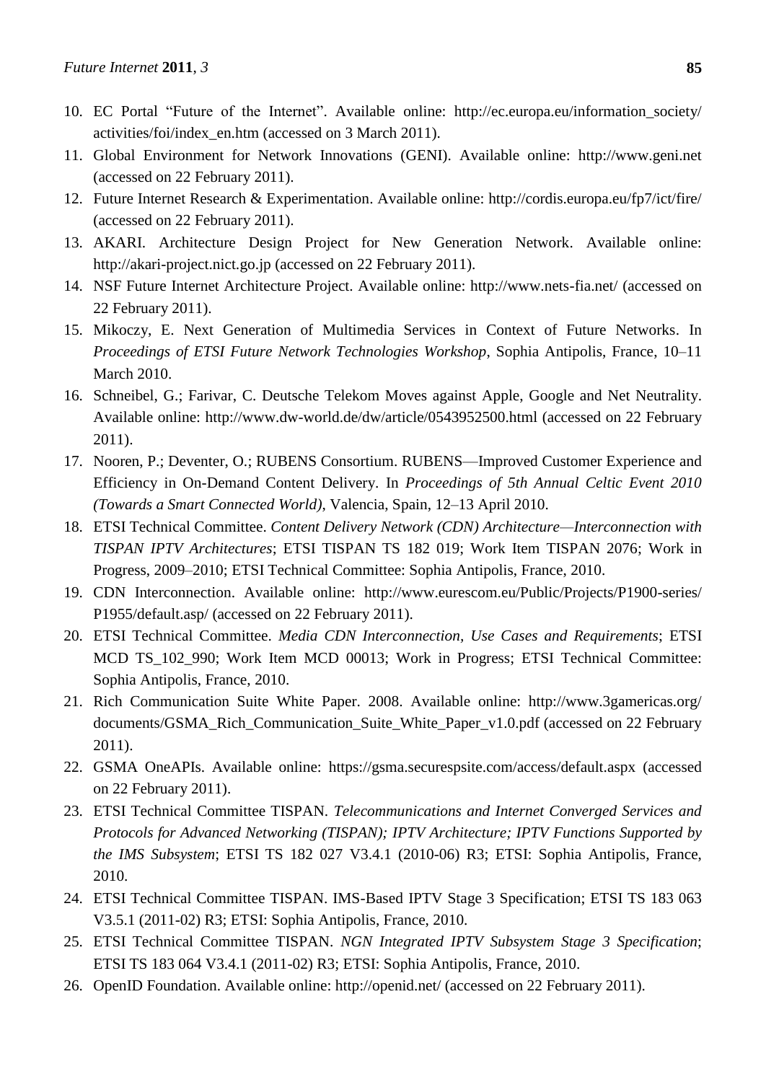- 10. EC Portal "Future of the Internet". Available online: http://ec.europa.eu/information\_society/ activities/foi/index\_en.htm (accessed on 3 March 2011).
- 11. Global Environment for Network Innovations (GENI). Available online: http://www.geni.net (accessed on 22 February 2011).
- 12. Future Internet Research & Experimentation. Available online: http://cordis.europa.eu/fp7/ict/fire/ (accessed on 22 February 2011).
- 13. AKARI. Architecture Design Project for New Generation Network. Available online: http://akari-project.nict.go.jp (accessed on 22 February 2011).
- 14. NSF Future Internet Architecture Project. Available online: http://www.nets-fia.net/ (accessed on 22 February 2011).
- 15. Mikoczy, E. Next Generation of Multimedia Services in Context of Future Networks. In *Proceedings of ETSI Future Network Technologies Workshop*, Sophia Antipolis, France, 10–11 March 2010.
- 16. Schneibel, G.; Farivar, C. Deutsche Telekom Moves against Apple, Google and Net Neutrality. Available online: http://www.dw-world.de/dw/article/0543952500.html (accessed on 22 February 2011).
- 17. Nooren, P.; Deventer, O.; RUBENS Consortium. RUBENS—Improved Customer Experience and Efficiency in On-Demand Content Delivery. In *Proceedings of 5th Annual Celtic Event 2010 (Towards a Smart Connected World)*, Valencia, Spain, 12–13 April 2010.
- 18. ETSI Technical Committee. *Content Delivery Network (CDN) Architecture—Interconnection with TISPAN IPTV Architectures*; ETSI TISPAN TS 182 019; Work Item TISPAN 2076; Work in Progress, 2009–2010; ETSI Technical Committee: Sophia Antipolis, France, 2010.
- 19. CDN Interconnection. Available online: http://www.eurescom.eu/Public/Projects/P1900-series/ P1955/default.asp/ (accessed on 22 February 2011).
- 20. ETSI Technical Committee. *Media CDN Interconnection, Use Cases and Requirements*; ETSI MCD TS\_102\_990; Work Item MCD 00013; Work in Progress; ETSI Technical Committee: Sophia Antipolis, France, 2010.
- 21. Rich Communication Suite White Paper. 2008. Available online: http://www.3gamericas.org/ documents/GSMA\_Rich\_Communication\_Suite\_White\_Paper\_v1.0.pdf (accessed on 22 February 2011).
- 22. GSMA OneAPIs. Available online: https://gsma.securespsite.com/access/default.aspx (accessed on 22 February 2011).
- 23. ETSI Technical Committee TISPAN. *Telecommunications and Internet Converged Services and Protocols for Advanced Networking (TISPAN); IPTV Architecture; IPTV Functions Supported by the IMS Subsystem*; ETSI TS 182 027 V3.4.1 (2010-06) R3; ETSI: Sophia Antipolis, France, 2010.
- 24. ETSI Technical Committee TISPAN. IMS-Based IPTV Stage 3 Specification; ETSI TS 183 063 V3.5.1 (2011-02) R3; ETSI: Sophia Antipolis, France, 2010.
- 25. ETSI Technical Committee TISPAN. *NGN Integrated IPTV Subsystem Stage 3 Specification*; ETSI TS 183 064 V3.4.1 (2011-02) R3; ETSI: Sophia Antipolis, France, 2010.
- 26. OpenID Foundation. Available online: http://openid.net/ (accessed on 22 February 2011).